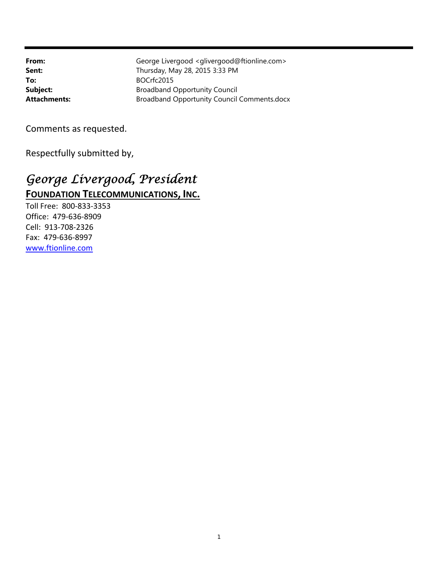To: BOCrfc2015

**From:** George Livergood <glivergood@ftionline.com> **Sent:** Thursday, May 28, 2015 3:33 PM **Subject:** Broadband Opportunity Council Attachments: **Attachments:** Broadband Opportunity Council Comments.docx

Comments as requested.

Respectfully submitted by,

# *George Livergood, President*  **FOUNDATION TELECOMMUNICATIONS, INC.**

Toll Free: 800‐833‐3353 Office: 479‐636‐8909 Cell: 913‐708‐2326 Fax: 479‐636‐8997 www.ftionline.com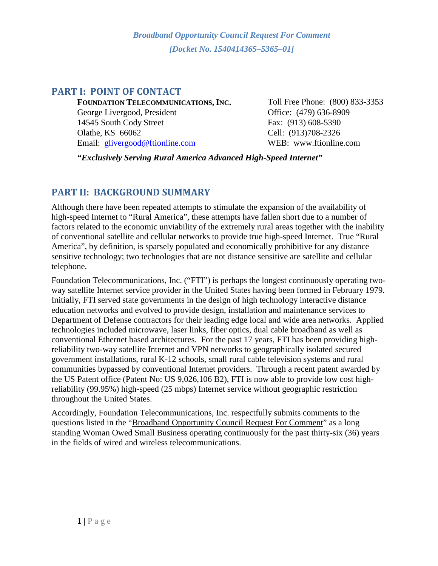# **PART I: POINT OF CONTACT**

**FOUNDATION TELECOMMUNICATIONS, INC.** Toll Free Phone: (800) 833-3353 George Livergood, President Office: (479) 636-8909 14545 South Cody Street Fax: (913) 608-5390 Olathe, KS 66062 Cell: (913)708-2326 Email: [glivergood@ftionline.com](mailto:glivergood@ftionline.com) WEB: www.ftionline.com

*"Exclusively Serving Rural America Advanced High-Speed Internet"*

# **PART II: BACKGROUND SUMMARY**

Although there have been repeated attempts to stimulate the expansion of the availability of high-speed Internet to "Rural America", these attempts have fallen short due to a number of factors related to the economic unviability of the extremely rural areas together with the inability of conventional satellite and cellular networks to provide true high-speed Internet. True "Rural America", by definition, is sparsely populated and economically prohibitive for any distance sensitive technology; two technologies that are not distance sensitive are satellite and cellular telephone.

Foundation Telecommunications, Inc. ("FTI") is perhaps the longest continuously operating twoway satellite Internet service provider in the United States having been formed in February 1979. Initially, FTI served state governments in the design of high technology interactive distance education networks and evolved to provide design, installation and maintenance services to Department of Defense contractors for their leading edge local and wide area networks. Applied technologies included microwave, laser links, fiber optics, dual cable broadband as well as conventional Ethernet based architectures. For the past 17 years, FTI has been providing highreliability two-way satellite Internet and VPN networks to geographically isolated secured government installations, rural K-12 schools, small rural cable television systems and rural communities bypassed by conventional Internet providers. Through a recent patent awarded by the US Patent office (Patent No: US 9,026,106 B2), FTI is now able to provide low cost highreliability (99.95%) high-speed (25 mbps) Internet service without geographic restriction throughout the United States.

Accordingly, Foundation Telecommunications, Inc. respectfully submits comments to the questions listed in the "Broadband Opportunity Council Request For Comment" as a long standing Woman Owed Small Business operating continuously for the past thirty-six (36) years in the fields of wired and wireless telecommunications.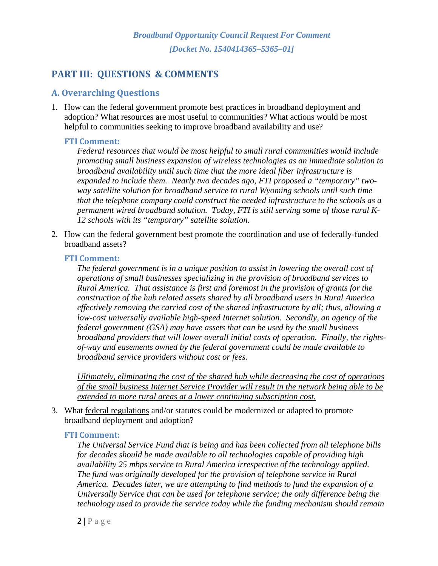# **PART III: QUESTIONS & COMMENTS**

# **A. Overarching Questions**

1. How can the federal government promote best practices in broadband deployment and adoption? What resources are most useful to communities? What actions would be most helpful to communities seeking to improve broadband availability and use?

#### **FTI Comment:**

*Federal resources that would be most helpful to small rural communities would include promoting small business expansion of wireless technologies as an immediate solution to broadband availability until such time that the more ideal fiber infrastructure is expanded to include them. Nearly two decades ago, FTI proposed a "temporary" twoway satellite solution for broadband service to rural Wyoming schools until such time that the telephone company could construct the needed infrastructure to the schools as a permanent wired broadband solution. Today, FTI is still serving some of those rural K-12 schools with its "temporary" satellite solution.*

2. How can the federal government best promote the coordination and use of federally-funded broadband assets?

#### **FTI Comment:**

*The federal government is in a unique position to assist in lowering the overall cost of operations of small businesses specializing in the provision of broadband services to Rural America. That assistance is first and foremost in the provision of grants for the construction of the hub related assets shared by all broadband users in Rural America effectively removing the carried cost of the shared infrastructure by all; thus, allowing a low-cost universally available high-speed Internet solution. Secondly, an agency of the federal government (GSA) may have assets that can be used by the small business broadband providers that will lower overall initial costs of operation. Finally, the rightsof-way and easements owned by the federal government could be made available to broadband service providers without cost or fees.* 

*Ultimately, eliminating the cost of the shared hub while decreasing the cost of operations of the small business Internet Service Provider will result in the network being able to be extended to more rural areas at a lower continuing subscription cost.* 

3. What federal regulations and/or statutes could be modernized or adapted to promote broadband deployment and adoption?

#### **FTI Comment:**

*The Universal Service Fund that is being and has been collected from all telephone bills for decades should be made available to all technologies capable of providing high availability 25 mbps service to Rural America irrespective of the technology applied. The fund was originally developed for the provision of telephone service in Rural America. Decades later, we are attempting to find methods to fund the expansion of a Universally Service that can be used for telephone service; the only difference being the technology used to provide the service today while the funding mechanism should remain*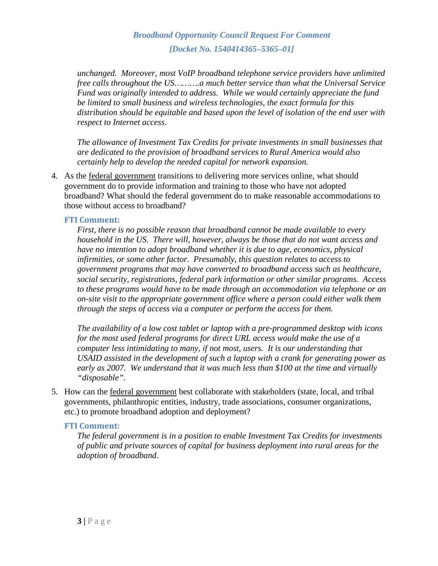*unchanged. Moreover, most VoIP broadband telephone service providers have unlimited free calls throughout the US……….a much better service than what the Universal Service Fund was originally intended to address. While we would certainly appreciate the fund be limited to small business and wireless technologies, the exact formula for this distribution should be equitable and based upon the level of isolation of the end user with respect to Internet access.*

*The allowance of Investment Tax Credits for private investments in small businesses that are dedicated to the provision of broadband services to Rural America would also certainly help to develop the needed capital for network expansion.* 

4. As the federal government transitions to delivering more services online, what should government do to provide information and training to those who have not adopted broadband? What should the federal government do to make reasonable accommodations to those without access to broadband?

#### **FTI Comment:**

*First, there is no possible reason that broadband cannot be made available to every household in the US. There will, however, always be those that do not want access and have no intention to adopt broadband whether it is due to age, economics, physical infirmities, or some other factor. Presumably, this question relates to access to government programs that may have converted to broadband access such as healthcare, social security, registrations, federal park information or other similar programs. Access to these programs would have to be made through an accommodation via telephone or an on-site visit to the appropriate government office where a person could either walk them through the steps of access via a computer or perform the access for them.*

*The availability of a low cost tablet or laptop with a pre-programmed desktop with icons for the most used federal programs for direct URL access would make the use of a computer less intimidating to many, if not most, users. It is our understanding that USAID assisted in the development of such a laptop with a crank for generating power as early as 2007. We understand that it was much less than \$100 at the time and virtually "disposable".* 

5. How can the federal government best collaborate with stakeholders (state, local, and tribal governments, philanthropic entities, industry, trade associations, consumer organizations, etc.) to promote broadband adoption and deployment?

## **FTI Comment:**

*The federal government is in a position to enable Investment Tax Credits for investments of public and private sources of capital for business deployment into rural areas for the adoption of broadband.*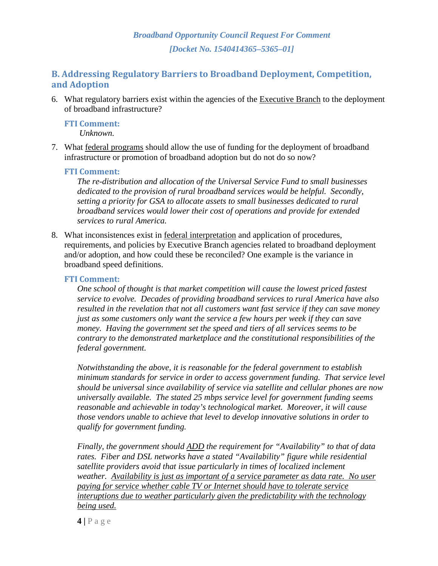# **B. Addressing Regulatory Barriers to Broadband Deployment, Competition, and Adoption**

6. What regulatory barriers exist within the agencies of the Executive Branch to the deployment of broadband infrastructure?

#### **FTI Comment:**

 *Unknown.* 

7. What federal programs should allow the use of funding for the deployment of broadband infrastructure or promotion of broadband adoption but do not do so now?

#### **FTI Comment:**

*The re-distribution and allocation of the Universal Service Fund to small businesses dedicated to the provision of rural broadband services would be helpful. Secondly, setting a priority for GSA to allocate assets to small businesses dedicated to rural broadband services would lower their cost of operations and provide for extended services to rural America.*

8. What inconsistences exist in federal interpretation and application of procedures, requirements, and policies by Executive Branch agencies related to broadband deployment and/or adoption, and how could these be reconciled? One example is the variance in broadband speed definitions.

#### **FTI Comment:**

*One school of thought is that market competition will cause the lowest priced fastest service to evolve. Decades of providing broadband services to rural America have also resulted in the revelation that not all customers want fast service if they can save money just as some customers only want the service a few hours per week if they can save money. Having the government set the speed and tiers of all services seems to be contrary to the demonstrated marketplace and the constitutional responsibilities of the federal government.* 

*Notwithstanding the above, it is reasonable for the federal government to establish minimum standards for service in order to access government funding. That service level should be universal since availability of service via satellite and cellular phones are now universally available. The stated 25 mbps service level for government funding seems reasonable and achievable in today's technological market. Moreover, it will cause those vendors unable to achieve that level to develop innovative solutions in order to qualify for government funding.* 

*Finally, the government should ADD the requirement for "Availability" to that of data rates. Fiber and DSL networks have a stated "Availability" figure while residential satellite providers avoid that issue particularly in times of localized inclement weather. Availability is just as important of a service parameter as data rate. No user paying for service whether cable TV or Internet should have to tolerate service interuptions due to weather particularly given the predictability with the technology being used.* 

**4 |** Page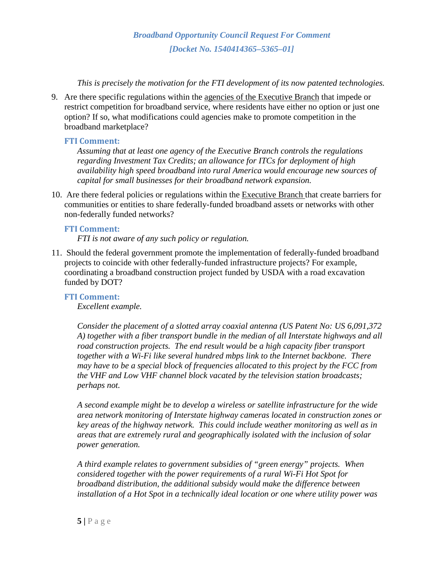*This is precisely the motivation for the FTI development of its now patented technologies.* 

9. Are there specific regulations within the agencies of the Executive Branch that impede or restrict competition for broadband service, where residents have either no option or just one option? If so, what modifications could agencies make to promote competition in the broadband marketplace?

## **FTI Comment:**

*Assuming that at least one agency of the Executive Branch controls the regulations regarding Investment Tax Credits; an allowance for ITCs for deployment of high availability high speed broadband into rural America would encourage new sources of capital for small businesses for their broadband network expansion.* 

10. Are there federal policies or regulations within the Executive Branch that create barriers for communities or entities to share federally-funded broadband assets or networks with other non-federally funded networks?

# **FTI Comment:**

*FTI is not aware of any such policy or regulation.* 

11. Should the federal government promote the implementation of federally-funded broadband projects to coincide with other federally-funded infrastructure projects? For example, coordinating a broadband construction project funded by USDA with a road excavation funded by DOT?

# **FTI Comment:**

*Excellent example.* 

*Consider the placement of a slotted array coaxial antenna (US Patent No: US 6,091,372 A) together with a fiber transport bundle in the median of all Interstate highways and all road construction projects. The end result would be a high capacity fiber transport together with a Wi-Fi like several hundred mbps link to the Internet backbone. There may have to be a special block of frequencies allocated to this project by the FCC from the VHF and Low VHF channel block vacated by the television station broadcasts; perhaps not.* 

*A second example might be to develop a wireless or satellite infrastructure for the wide area network monitoring of Interstate highway cameras located in construction zones or key areas of the highway network. This could include weather monitoring as well as in areas that are extremely rural and geographically isolated with the inclusion of solar power generation.* 

*A third example relates to government subsidies of "green energy" projects. When considered together with the power requirements of a rural Wi-Fi Hot Spot for broadband distribution, the additional subsidy would make the difference between installation of a Hot Spot in a technically ideal location or one where utility power was*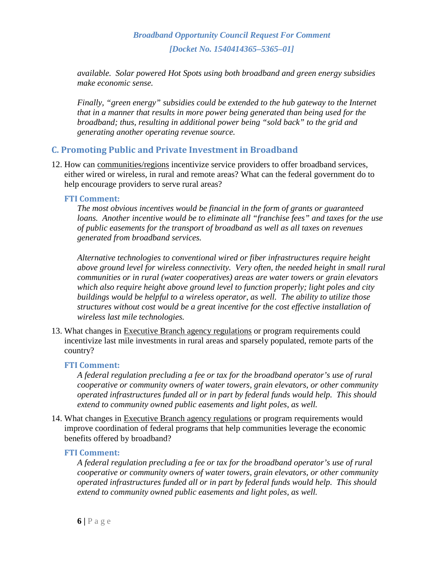*available. Solar powered Hot Spots using both broadband and green energy subsidies make economic sense.* 

*Finally, "green energy" subsidies could be extended to the hub gateway to the Internet that in a manner that results in more power being generated than being used for the broadband; thus, resulting in additional power being "sold back" to the grid and generating another operating revenue source.* 

# **C. Promoting Public and Private Investment in Broadband**

12. How can communities/regions incentivize service providers to offer broadband services, either wired or wireless, in rural and remote areas? What can the federal government do to help encourage providers to serve rural areas?

## **FTI Comment:**

*The most obvious incentives would be financial in the form of grants or guaranteed loans. Another incentive would be to eliminate all "franchise fees" and taxes for the use of public easements for the transport of broadband as well as all taxes on revenues generated from broadband services.* 

*Alternative technologies to conventional wired or fiber infrastructures require height above ground level for wireless connectivity. Very often, the needed height in small rural communities or in rural (water cooperatives) areas are water towers or grain elevators which also require height above ground level to function properly; light poles and city buildings would be helpful to a wireless operator, as well. The ability to utilize those structures without cost would be a great incentive for the cost effective installation of wireless last mile technologies.*

13. What changes in Executive Branch agency regulations or program requirements could incentivize last mile investments in rural areas and sparsely populated, remote parts of the country?

#### **FTI Comment:**

*A federal regulation precluding a fee or tax for the broadband operator's use of rural cooperative or community owners of water towers, grain elevators, or other community operated infrastructures funded all or in part by federal funds would help. This should extend to community owned public easements and light poles, as well.* 

14. What changes in Executive Branch agency regulations or program requirements would improve coordination of federal programs that help communities leverage the economic benefits offered by broadband?

#### **FTI Comment:**

*A federal regulation precluding a fee or tax for the broadband operator's use of rural cooperative or community owners of water towers, grain elevators, or other community operated infrastructures funded all or in part by federal funds would help. This should extend to community owned public easements and light poles, as well.*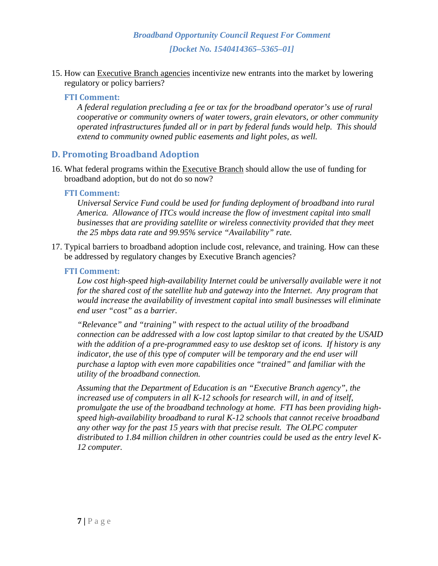15. How can Executive Branch agencies incentivize new entrants into the market by lowering regulatory or policy barriers?

#### **FTI Comment:**

*A federal regulation precluding a fee or tax for the broadband operator's use of rural cooperative or community owners of water towers, grain elevators, or other community operated infrastructures funded all or in part by federal funds would help. This should extend to community owned public easements and light poles, as well.* 

#### **D. Promoting Broadband Adoption**

16. What federal programs within the Executive Branch should allow the use of funding for broadband adoption, but do not do so now?

#### **FTI Comment:**

*Universal Service Fund could be used for funding deployment of broadband into rural America. Allowance of ITCs would increase the flow of investment capital into small businesses that are providing satellite or wireless connectivity provided that they meet the 25 mbps data rate and 99.95% service "Availability" rate.* 

17. Typical barriers to broadband adoption include cost, relevance, and training. How can these be addressed by regulatory changes by Executive Branch agencies?

#### **FTI Comment:**

Low cost high-speed high-availability Internet could be universally available were it not *for the shared cost of the satellite hub and gateway into the Internet. Any program that would increase the availability of investment capital into small businesses will eliminate end user "cost" as a barrier.* 

*"Relevance" and "training" with respect to the actual utility of the broadband connection can be addressed with a low cost laptop similar to that created by the USAID with the addition of a pre-programmed easy to use desktop set of icons. If history is any indicator, the use of this type of computer will be temporary and the end user will purchase a laptop with even more capabilities once "trained" and familiar with the utility of the broadband connection.* 

*Assuming that the Department of Education is an "Executive Branch agency", the increased use of computers in all K-12 schools for research will, in and of itself, promulgate the use of the broadband technology at home. FTI has been providing highspeed high-availability broadband to rural K-12 schools that cannot receive broadband any other way for the past 15 years with that precise result. The OLPC computer distributed to 1.84 million children in other countries could be used as the entry level K-12 computer.*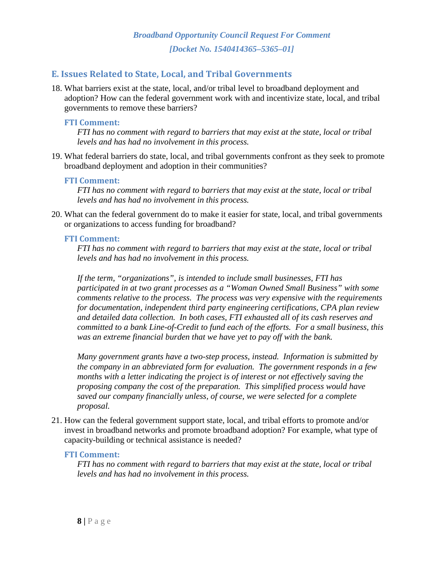# **E. Issues Related to State, Local, and Tribal Governments**

18. What barriers exist at the state, local, and/or tribal level to broadband deployment and adoption? How can the federal government work with and incentivize state, local, and tribal governments to remove these barriers?

#### **FTI Comment:**

*FTI has no comment with regard to barriers that may exist at the state, local or tribal levels and has had no involvement in this process.* 

19. What federal barriers do state, local, and tribal governments confront as they seek to promote broadband deployment and adoption in their communities?

#### **FTI Comment:**

*FTI has no comment with regard to barriers that may exist at the state, local or tribal levels and has had no involvement in this process.* 

20. What can the federal government do to make it easier for state, local, and tribal governments or organizations to access funding for broadband?

#### **FTI Comment:**

*FTI has no comment with regard to barriers that may exist at the state, local or tribal levels and has had no involvement in this process.* 

*If the term, "organizations", is intended to include small businesses, FTI has participated in at two grant processes as a "Woman Owned Small Business" with some comments relative to the process. The process was very expensive with the requirements for documentation, independent third party engineering certifications, CPA plan review and detailed data collection. In both cases, FTI exhausted all of its cash reserves and committed to a bank Line-of-Credit to fund each of the efforts. For a small business, this was an extreme financial burden that we have yet to pay off with the bank.* 

*Many government grants have a two-step process, instead. Information is submitted by the company in an abbreviated form for evaluation. The government responds in a few months with a letter indicating the project is of interest or not effectively saving the proposing company the cost of the preparation. This simplified process would have saved our company financially unless, of course, we were selected for a complete proposal.* 

21. How can the federal government support state, local, and tribal efforts to promote and/or invest in broadband networks and promote broadband adoption? For example, what type of capacity-building or technical assistance is needed?

#### **FTI Comment:**

*FTI has no comment with regard to barriers that may exist at the state, local or tribal levels and has had no involvement in this process.*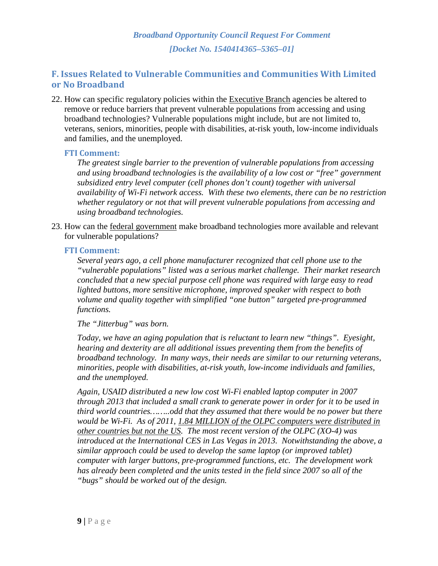# **F. Issues Related to Vulnerable Communities and Communities With Limited or No Broadband**

22. How can specific regulatory policies within the Executive Branch agencies be altered to remove or reduce barriers that prevent vulnerable populations from accessing and using broadband technologies? Vulnerable populations might include, but are not limited to, veterans, seniors, minorities, people with disabilities, at-risk youth, low-income individuals and families, and the unemployed.

#### **FTI Comment:**

*The greatest single barrier to the prevention of vulnerable populations from accessing and using broadband technologies is the availability of a low cost or "free" government subsidized entry level computer (cell phones don't count) together with universal availability of Wi-Fi network access. With these two elements, there can be no restriction whether regulatory or not that will prevent vulnerable populations from accessing and using broadband technologies.* 

23. How can the federal government make broadband technologies more available and relevant for vulnerable populations?

#### **FTI Comment:**

*Several years ago, a cell phone manufacturer recognized that cell phone use to the "vulnerable populations" listed was a serious market challenge. Their market research concluded that a new special purpose cell phone was required with large easy to read lighted buttons, more sensitive microphone, improved speaker with respect to both volume and quality together with simplified "one button" targeted pre-programmed functions.* 

#### *The "Jitterbug" was born.*

*Today, we have an aging population that is reluctant to learn new "things". Eyesight, hearing and dexterity are all additional issues preventing them from the benefits of broadband technology. In many ways, their needs are similar to our returning veterans, minorities, people with disabilities, at-risk youth, low-income individuals and families, and the unemployed.* 

*Again, USAID distributed a new low cost Wi-Fi enabled laptop computer in 2007 through 2013 that included a small crank to generate power in order for it to be used in third world countries……..odd that they assumed that there would be no power but there would be Wi-Fi. As of 2011, 1.84 MILLION of the OLPC computers were distributed in other countries but not the US. The most recent version of the OLPC (XO-4) was introduced at the International CES in Las Vegas in 2013. Notwithstanding the above, a similar approach could be used to develop the same laptop (or improved tablet) computer with larger buttons, pre-programmed functions, etc. The development work has already been completed and the units tested in the field since 2007 so all of the "bugs" should be worked out of the design.*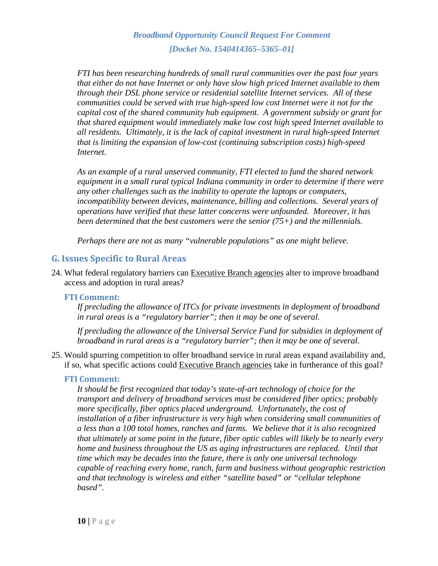*FTI has been researching hundreds of small rural communities over the past four years that either do not have Internet or only have slow high priced Internet available to them through their DSL phone service or residential satellite Internet services. All of these communities could be served with true high-speed low cost Internet were it not for the capital cost of the shared community hub equipment. A government subsidy or grant for that shared equipment would immediately make low cost high speed Internet available to all residents. Ultimately, it is the lack of capital investment in rural high-speed Internet that is limiting the expansion of low-cost (continuing subscription costs) high-speed Internet.*

*As an example of a rural unserved community, FTI elected to fund the shared network equipment in a small rural typical Indiana community in order to determine if there were any other challenges such as the inability to operate the laptops or computers, incompatibility between devices, maintenance, billing and collections. Several years of operations have verified that these latter concerns were unfounded. Moreover, it has been determined that the best customers were the senior (75+) and the millennials.* 

*Perhaps there are not as many "vulnerable populations" as one might believe.* 

#### **G. Issues Specific to Rural Areas**

24. What federal regulatory barriers can Executive Branch agencies alter to improve broadband access and adoption in rural areas?

#### **FTI Comment:**

*If precluding the allowance of ITCs for private investments in deployment of broadband in rural areas is a "regulatory barrier"; then it may be one of several.* 

*If precluding the allowance of the Universal Service Fund for subsidies in deployment of broadband in rural areas is a "regulatory barrier"; then it may be one of several.* 

25. Would spurring competition to offer broadband service in rural areas expand availability and, if so, what specific actions could Executive Branch agencies take in furtherance of this goal?

#### **FTI Comment:**

*It should be first recognized that today's state-of-art technology of choice for the transport and delivery of broadband services must be considered fiber optics; probably more specifically, fiber optics placed underground. Unfortunately, the cost of installation of a fiber infrastructure is very high when considering small communities of a less than a 100 total homes, ranches and farms. We believe that it is also recognized that ultimately at some point in the future, fiber optic cables will likely be to nearly every home and business throughout the US as aging infrastructures are replaced. Until that time which may be decades into the future, there is only one universal technology capable of reaching every home, ranch, farm and business without geographic restriction and that technology is wireless and either "satellite based" or "cellular telephone based".*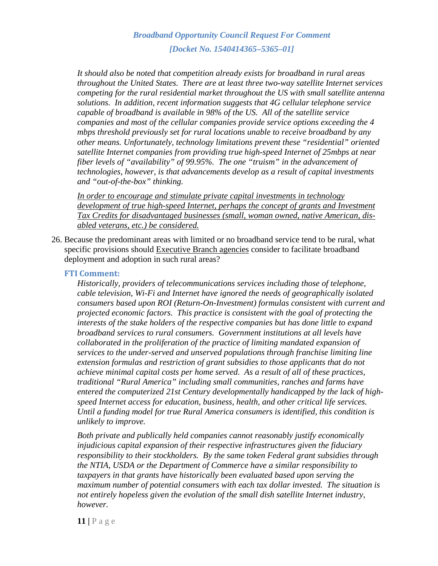*It should also be noted that competition already exists for broadband in rural areas throughout the United States. There are at least three two-way satellite Internet services competing for the rural residential market throughout the US with small satellite antenna solutions. In addition, recent information suggests that 4G cellular telephone service capable of broadband is available in 98% of the US. All of the satellite service companies and most of the cellular companies provide service options exceeding the 4 mbps threshold previously set for rural locations unable to receive broadband by any other means. Unfortunately, technology limitations prevent these "residential" oriented satellite Internet companies from providing true high-speed Internet of 25mbps at near fiber levels of "availability" of 99.95%. The one "truism" in the advancement of technologies, however, is that advancements develop as a result of capital investments and "out-of-the-box" thinking.* 

*In order to encourage and stimulate private capital investments in technology*  development of true high-speed Internet, perhaps the concept of grants and Investment *Tax Credits for disadvantaged businesses (small, woman owned, native American, disabled veterans, etc.) be considered.* 

26. Because the predominant areas with limited or no broadband service tend to be rural, what specific provisions should Executive Branch agencies consider to facilitate broadband deployment and adoption in such rural areas?

#### **FTI Comment:**

*Historically, providers of telecommunications services including those of telephone, cable television, Wi-Fi and Internet have ignored the needs of geographically isolated consumers based upon ROI (Return-On-Investment) formulas consistent with current and projected economic factors. This practice is consistent with the goal of protecting the interests of the stake holders of the respective companies but has done little to expand broadband services to rural consumers. Government institutions at all levels have collaborated in the proliferation of the practice of limiting mandated expansion of services to the under-served and unserved populations through franchise limiting line extension formulas and restriction of grant subsidies to those applicants that do not achieve minimal capital costs per home served. As a result of all of these practices, traditional "Rural America" including small communities, ranches and farms have entered the computerized 21st Century developmentally handicapped by the lack of highspeed Internet access for education, business, health, and other critical life services. Until a funding model for true Rural America consumers is identified, this condition is unlikely to improve.* 

*Both private and publically held companies cannot reasonably justify economically injudicious capital expansion of their respective infrastructures given the fiduciary responsibility to their stockholders. By the same token Federal grant subsidies through the NTIA, USDA or the Department of Commerce have a similar responsibility to taxpayers in that grants have historically been evaluated based upon serving the maximum number of potential consumers with each tax dollar invested. The situation is not entirely hopeless given the evolution of the small dish satellite Internet industry, however.*

**11 |** Page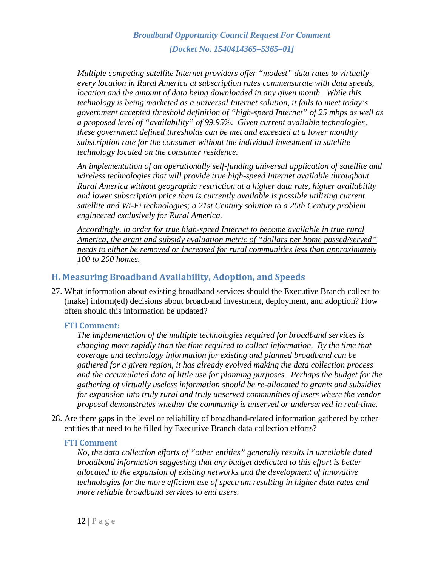*Multiple competing satellite Internet providers offer "modest" data rates to virtually every location in Rural America at subscription rates commensurate with data speeds, location and the amount of data being downloaded in any given month. While this technology is being marketed as a universal Internet solution, it fails to meet today's government accepted threshold definition of "high-speed Internet" of 25 mbps as well as a proposed level of "availability" of 99.95%. Given current available technologies, these government defined thresholds can be met and exceeded at a lower monthly subscription rate for the consumer without the individual investment in satellite technology located on the consumer residence.* 

*An implementation of an operationally self-funding universal application of satellite and wireless technologies that will provide true high-speed Internet available throughout Rural America without geographic restriction at a higher data rate, higher availability and lower subscription price than is currently available is possible utilizing current satellite and Wi-Fi technologies; a 21st Century solution to a 20th Century problem engineered exclusively for Rural America.* 

*Accordingly, in order for true high-speed Internet to become available in true rural America, the grant and subsidy evaluation metric of "dollars per home passed/served" needs to either be removed or increased for rural communities less than approximately 100 to 200 homes.* 

# **H. Measuring Broadband Availability, Adoption, and Speeds**

27. What information about existing broadband services should the Executive Branch collect to (make) inform(ed) decisions about broadband investment, deployment, and adoption? How often should this information be updated?

#### **FTI Comment:**

*The implementation of the multiple technologies required for broadband services is changing more rapidly than the time required to collect information. By the time that coverage and technology information for existing and planned broadband can be gathered for a given region, it has already evolved making the data collection process and the accumulated data of little use for planning purposes. Perhaps the budget for the gathering of virtually useless information should be re-allocated to grants and subsidies for expansion into truly rural and truly unserved communities of users where the vendor proposal demonstrates whether the community is unserved or underserved in real-time.*

28. Are there gaps in the level or reliability of broadband-related information gathered by other entities that need to be filled by Executive Branch data collection efforts?

#### **FTI Comment**

*No, the data collection efforts of "other entities" generally results in unreliable dated broadband information suggesting that any budget dedicated to this effort is better allocated to the expansion of existing networks and the development of innovative technologies for the more efficient use of spectrum resulting in higher data rates and more reliable broadband services to end users.*